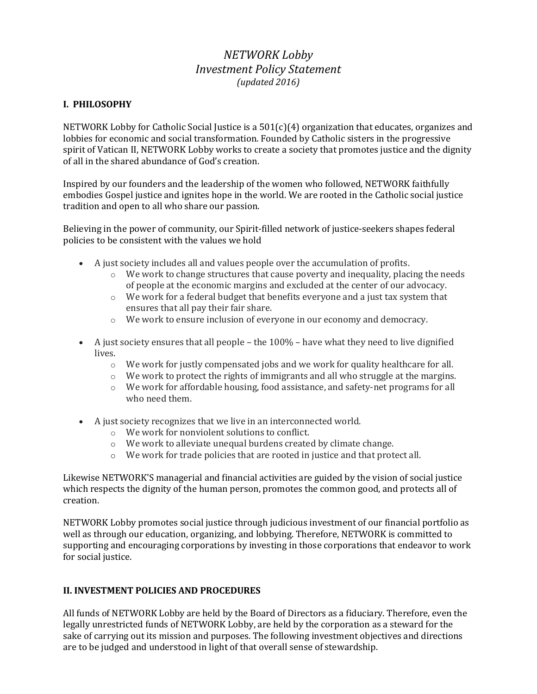# *NETWORK Lobby Investment Policy Statement (updated 2016)*

## **I. PHILOSOPHY**

NETWORK Lobby for Catholic Social Justice is a  $501(c)(4)$  organization that educates, organizes and lobbies for economic and social transformation. Founded by Catholic sisters in the progressive spirit of Vatican II, NETWORK Lobby works to create a society that promotes justice and the dignity of all in the shared abundance of God's creation.

Inspired by our founders and the leadership of the women who followed, NETWORK faithfully embodies Gospel justice and ignites hope in the world. We are rooted in the Catholic social justice tradition and open to all who share our passion.

Believing in the power of community, our Spirit-filled network of justice-seekers shapes federal policies to be consistent with the values we hold

- A just society includes all and values people over the accumulation of profits.
	- $\circ$  We work to change structures that cause poverty and inequality, placing the needs of people at the economic margins and excluded at the center of our advocacy.
	- $\circ$  We work for a federal budget that benefits everyone and a just tax system that ensures that all pay their fair share.
	- o We work to ensure inclusion of everyone in our economy and democracy.
- A just society ensures that all people the 100% have what they need to live dignified lives.
	- $\circ$  We work for justly compensated jobs and we work for quality healthcare for all.
	- o We work to protect the rights of immigrants and all who struggle at the margins.
	- $\circ$  We work for affordable housing, food assistance, and safety-net programs for all who need them.
- A just society recognizes that we live in an interconnected world.
	- o We work for nonviolent solutions to conflict.
	- o We work to alleviate unequal burdens created by climate change.
	- o We work for trade policies that are rooted in justice and that protect all.

Likewise NETWORK'S managerial and financial activities are guided by the vision of social justice which respects the dignity of the human person, promotes the common good, and protects all of creation.

NETWORK Lobby promotes social justice through judicious investment of our financial portfolio as well as through our education, organizing, and lobbying. Therefore, NETWORK is committed to supporting and encouraging corporations by investing in those corporations that endeavor to work for social justice.

## **II. INVESTMENT POLICIES AND PROCEDURES**

All funds of NETWORK Lobby are held by the Board of Directors as a fiduciary. Therefore, even the legally unrestricted funds of NETWORK Lobby, are held by the corporation as a steward for the sake of carrying out its mission and purposes. The following investment objectives and directions are to be judged and understood in light of that overall sense of stewardship.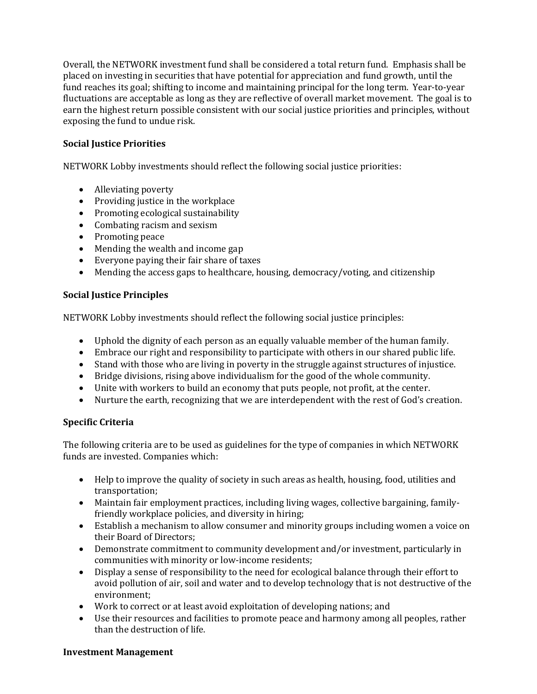Overall, the NETWORK investment fund shall be considered a total return fund. Emphasis shall be placed on investing in securities that have potential for appreciation and fund growth, until the fund reaches its goal; shifting to income and maintaining principal for the long term. Year-to-year fluctuations are acceptable as long as they are reflective of overall market movement. The goal is to earn the highest return possible consistent with our social justice priorities and principles, without exposing the fund to undue risk.

# **Social Justice Priorities**

NETWORK Lobby investments should reflect the following social justice priorities:

- Alleviating poverty
- Providing justice in the workplace
- Promoting ecological sustainability
- Combating racism and sexism
- Promoting peace
- Mending the wealth and income gap
- Everyone paying their fair share of taxes
- Mending the access gaps to healthcare, housing, democracy/voting, and citizenship

## **Social Justice Principles**

NETWORK Lobby investments should reflect the following social justice principles:

- Uphold the dignity of each person as an equally valuable member of the human family.
- Embrace our right and responsibility to participate with others in our shared public life.
- Stand with those who are living in poverty in the struggle against structures of injustice.
- Bridge divisions, rising above individualism for the good of the whole community.
- Unite with workers to build an economy that puts people, not profit, at the center.
- Nurture the earth, recognizing that we are interdependent with the rest of God's creation.

## **Specific Criteria**

The following criteria are to be used as guidelines for the type of companies in which NETWORK funds are invested. Companies which:

- Help to improve the quality of society in such areas as health, housing, food, utilities and transportation;
- Maintain fair employment practices, including living wages, collective bargaining, familyfriendly workplace policies, and diversity in hiring;
- Establish a mechanism to allow consumer and minority groups including women a voice on their Board of Directors;
- Demonstrate commitment to community development and/or investment, particularly in communities with minority or low-income residents;
- Display a sense of responsibility to the need for ecological balance through their effort to avoid pollution of air, soil and water and to develop technology that is not destructive of the environment;
- Work to correct or at least avoid exploitation of developing nations; and
- Use their resources and facilities to promote peace and harmony among all peoples, rather than the destruction of life.

#### **Investment Management**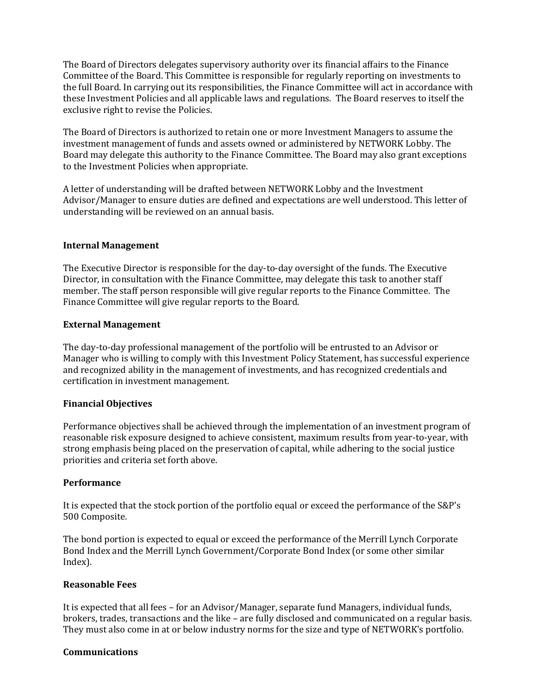The Board of Directors delegates supervisory authority over its financial affairs to the Finance Committee of the Board. This Committee is responsible for regularly reporting on investments to the full Board. In carrying out its responsibilities, the Finance Committee will act in accordance with these Investment Policies and all applicable laws and regulations. The Board reserves to itself the exclusive right to revise the Policies.

The Board of Directors is authorized to retain one or more Investment Managers to assume the investment management of funds and assets owned or administered by NETWORK Lobby. The Board may delegate this authority to the Finance Committee. The Board may also grant exceptions to the Investment Policies when appropriate.

A letter of understanding will be drafted between NETWORK Lobby and the Investment Advisor/Manager to ensure duties are defined and expectations are well understood. This letter of understanding will be reviewed on an annual basis.

## **Internal Management**

The Executive Director is responsible for the day-to-day oversight of the funds. The Executive Director, in consultation with the Finance Committee, may delegate this task to another staff member. The staff person responsible will give regular reports to the Finance Committee. The Finance Committee will give regular reports to the Board.

## **External Management**

The day-to-day professional management of the portfolio will be entrusted to an Advisor or Manager who is willing to comply with this Investment Policy Statement, has successful experience and recognized ability in the management of investments, and has recognized credentials and certification in investment management.

## **Financial Objectives**

Performance objectives shall be achieved through the implementation of an investment program of reasonable risk exposure designed to achieve consistent, maximum results from year-to-year, with strong emphasis being placed on the preservation of capital, while adhering to the social justice priorities and criteria set forth above.

## **Performance**

It is expected that the stock portion of the portfolio equal or exceed the performance of the S&P's 500 Composite.

The bond portion is expected to equal or exceed the performance of the Merrill Lynch Corporate Bond Index and the Merrill Lynch Government/Corporate Bond Index (or some other similar Index).

#### **Reasonable Fees**

It is expected that all fees – for an Advisor/Manager, separate fund Managers, individual funds, brokers, trades, transactions and the like – are fully disclosed and communicated on a regular basis. They must also come in at or below industry norms for the size and type of NETWORK's portfolio.

#### **Communications**